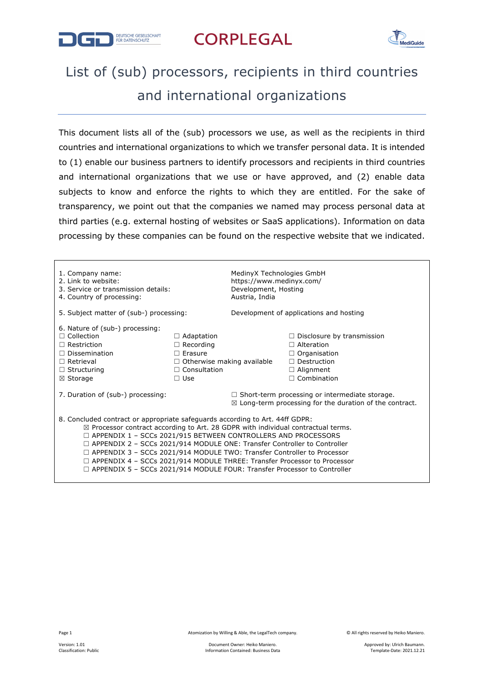

## **CORPLEGAL**



## List of (sub) processors, recipients in third countries and international organizations

This document lists all of the (sub) processors we use, as well as the recipients in third countries and international organizations to which we transfer personal data. It is intended to (1) enable our business partners to identify processors and recipients in third countries and international organizations that we use or have approved, and (2) enable data subjects to know and enforce the rights to which they are entitled. For the sake of transparency, we point out that the companies we named may process personal data at third parties (e.g. external hosting of websites or SaaS applications). Information on data processing by these companies can be found on the respective website that we indicated.

| 1. Company name:<br>2. Link to website:<br>3. Service or transmission details:<br>4. Country of processing:                                                                                                                                                                                                                                                                                                                                                                                                                                                                                    |                                                                                                                                   | MedinyX Technologies GmbH<br>https://www.medinyx.com/<br>Development, Hosting<br>Austria, India                             |                                                                                                                                               |  |  |
|------------------------------------------------------------------------------------------------------------------------------------------------------------------------------------------------------------------------------------------------------------------------------------------------------------------------------------------------------------------------------------------------------------------------------------------------------------------------------------------------------------------------------------------------------------------------------------------------|-----------------------------------------------------------------------------------------------------------------------------------|-----------------------------------------------------------------------------------------------------------------------------|-----------------------------------------------------------------------------------------------------------------------------------------------|--|--|
| 5. Subject matter of (sub-) processing:                                                                                                                                                                                                                                                                                                                                                                                                                                                                                                                                                        |                                                                                                                                   | Development of applications and hosting                                                                                     |                                                                                                                                               |  |  |
| 6. Nature of (sub-) processing:<br>$\Box$ Collection<br>$\Box$ Restriction<br>$\Box$ Dissemination<br>$\Box$ Retrieval<br>$\Box$ Structuring<br>⊠ Storage                                                                                                                                                                                                                                                                                                                                                                                                                                      | $\Box$ Adaptation<br>$\Box$ Recording<br>$\Box$ Erasure<br>$\Box$ Otherwise making available<br>$\Box$ Consultation<br>$\Box$ Use |                                                                                                                             | $\Box$ Disclosure by transmission<br>$\Box$ Alteration<br>$\Box$ Organisation<br>$\Box$ Destruction<br>$\Box$ Alignment<br>$\Box$ Combination |  |  |
| 7. Duration of (sub-) processing:                                                                                                                                                                                                                                                                                                                                                                                                                                                                                                                                                              |                                                                                                                                   | $\Box$ Short-term processing or intermediate storage.<br>$\boxtimes$ Long-term processing for the duration of the contract. |                                                                                                                                               |  |  |
| 8. Concluded contract or appropriate safeguards according to Art. 44ff GDPR:<br>$\boxtimes$ Processor contract according to Art. 28 GDPR with individual contractual terms.<br>$\Box$ APPENDIX 1 - SCCs 2021/915 BETWEEN CONTROLLERS AND PROCESSORS<br>$\Box$ APPENDIX 2 - SCCs 2021/914 MODULE ONE: Transfer Controller to Controller<br>$\Box$ APPENDIX 3 – SCCs 2021/914 MODULE TWO: Transfer Controller to Processor<br>$\Box$ APPENDIX 4 – SCCs 2021/914 MODULE THREE: Transfer Processor to Processor<br>$\Box$ APPENDIX 5 – SCCs 2021/914 MODULE FOUR: Transfer Processor to Controller |                                                                                                                                   |                                                                                                                             |                                                                                                                                               |  |  |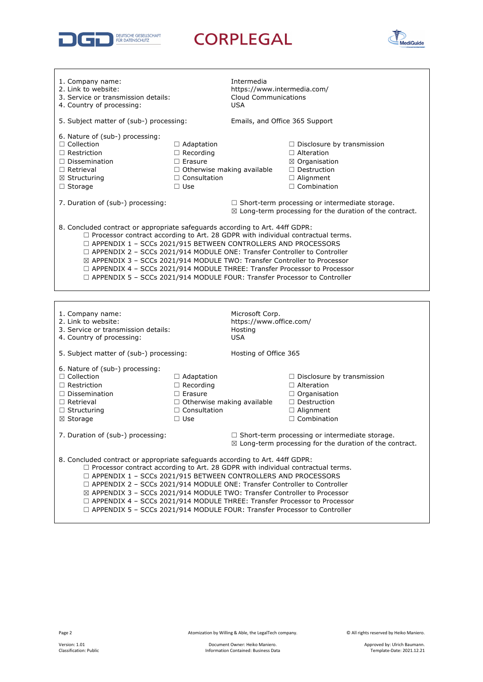

**CORPLEGAL** 



| 1. Company name:<br>2. Link to website:<br>3. Service or transmission details:<br>4. Country of processing:                                                                                                                                                                                                                                                                                                                                                                                                                                                                |                                                                                                                                   | Intermedia<br>https://www.intermedia.com/<br>Cloud Communications<br><b>USA</b>                                             |                                                                                                                                                    |  |
|----------------------------------------------------------------------------------------------------------------------------------------------------------------------------------------------------------------------------------------------------------------------------------------------------------------------------------------------------------------------------------------------------------------------------------------------------------------------------------------------------------------------------------------------------------------------------|-----------------------------------------------------------------------------------------------------------------------------------|-----------------------------------------------------------------------------------------------------------------------------|----------------------------------------------------------------------------------------------------------------------------------------------------|--|
| 5. Subject matter of (sub-) processing:                                                                                                                                                                                                                                                                                                                                                                                                                                                                                                                                    |                                                                                                                                   | Emails, and Office 365 Support                                                                                              |                                                                                                                                                    |  |
| 6. Nature of (sub-) processing:<br>$\Box$ Collection<br>$\Box$ Restriction<br>$\Box$ Dissemination<br>$\Box$ Retrieval<br>$\boxtimes$ Structuring<br>$\Box$ Storage                                                                                                                                                                                                                                                                                                                                                                                                        | $\Box$ Adaptation<br>$\Box$ Recording<br>$\Box$ Erasure<br>□ Otherwise making available<br>$\Box$ Consultation<br>$\Box$ Use      |                                                                                                                             | $\Box$ Disclosure by transmission<br>$\Box$ Alteration<br>$\boxtimes$ Organisation<br>$\Box$ Destruction<br>$\Box$ Alignment<br>$\Box$ Combination |  |
| 7. Duration of (sub-) processing:                                                                                                                                                                                                                                                                                                                                                                                                                                                                                                                                          |                                                                                                                                   | $\Box$ Short-term processing or intermediate storage.<br>$\boxtimes$ Long-term processing for the duration of the contract. |                                                                                                                                                    |  |
| 8. Concluded contract or appropriate safeguards according to Art. 44ff GDPR:<br>$\Box$ Processor contract according to Art. 28 GDPR with individual contractual terms.<br>□ APPENDIX 1 - SCCs 2021/915 BETWEEN CONTROLLERS AND PROCESSORS<br>$\Box$ APPENDIX 2 - SCCs 2021/914 MODULE ONE: Transfer Controller to Controller<br>⊠ APPENDIX 3 - SCCs 2021/914 MODULE TWO: Transfer Controller to Processor<br>$\Box$ APPENDIX 4 - SCCs 2021/914 MODULE THREE: Transfer Processor to Processor<br>□ APPENDIX 5 - SCCs 2021/914 MODULE FOUR: Transfer Processor to Controller |                                                                                                                                   |                                                                                                                             |                                                                                                                                                    |  |
|                                                                                                                                                                                                                                                                                                                                                                                                                                                                                                                                                                            |                                                                                                                                   |                                                                                                                             |                                                                                                                                                    |  |
| 1. Company name:<br>2. Link to website:<br>3. Service or transmission details:<br>4. Country of processing:                                                                                                                                                                                                                                                                                                                                                                                                                                                                |                                                                                                                                   |                                                                                                                             |                                                                                                                                                    |  |
|                                                                                                                                                                                                                                                                                                                                                                                                                                                                                                                                                                            |                                                                                                                                   | Microsoft Corp.<br>https://www.office.com/<br>Hosting<br><b>USA</b>                                                         |                                                                                                                                                    |  |
| 5. Subject matter of (sub-) processing:                                                                                                                                                                                                                                                                                                                                                                                                                                                                                                                                    |                                                                                                                                   | Hosting of Office 365                                                                                                       |                                                                                                                                                    |  |
| 6. Nature of (sub-) processing:<br>$\Box$ Collection<br>$\Box$ Restriction<br>$\Box$ Dissemination<br>$\Box$ Retrieval<br>$\Box$ Structuring<br>⊠ Storage                                                                                                                                                                                                                                                                                                                                                                                                                  | $\Box$ Adaptation<br>$\Box$ Recording<br>$\Box$ Erasure<br>$\Box$ Otherwise making available<br>$\Box$ Consultation<br>$\Box$ Use |                                                                                                                             | $\Box$ Disclosure by transmission<br>$\Box$ Alteration<br>$\Box$ Organisation<br>$\Box$ Destruction<br>$\Box$ Alignment<br>$\Box$ Combination      |  |
| 7. Duration of (sub-) processing:                                                                                                                                                                                                                                                                                                                                                                                                                                                                                                                                          |                                                                                                                                   |                                                                                                                             | □ Short-term processing or intermediate storage.<br>$\boxtimes$ Long-term processing for the duration of the contract.                             |  |